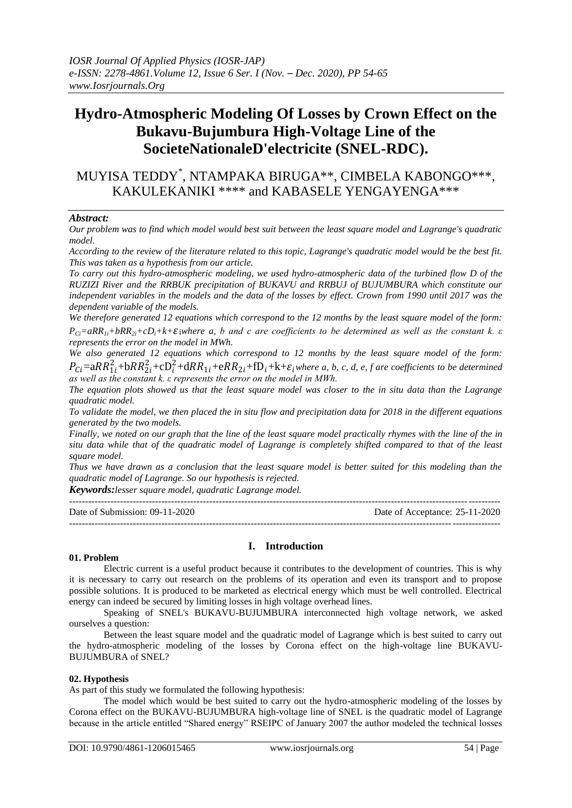# **Hydro-Atmospheric Modeling Of Losses by Crown Effect on the Bukavu-Bujumbura High-Voltage Line of the SocieteNationaleD'electricite (SNEL-RDC).**

MUYISA TEDDY\* , NTAMPAKA BIRUGA\*\*, CIMBELA KABONGO\*\*\*, KAKULEKANIKI \*\*\*\* and KABASELE YENGAYENGA\*\*\*

#### *Abstract:*

*Our problem was to find which model would best suit between the least square model and Lagrange's quadratic model.*

*According to the review of the literature related to this topic, Lagrange's quadratic model would be the best fit. This was taken as a hypothesis from our article.*

*To carry out this hydro-atmospheric modeling, we used hydro-atmospheric data of the turbined flow D of the RUZIZI River and the RRBUK precipitation of BUKAVU and RRBUJ of BUJUMBURA which constitute our independent variables in the models and the data of the losses by effect. Crown from 1990 until 2017 was the dependent variable of the models.*

*We therefore generated 12 equations which correspond to the 12 months by the least square model of the form:*   $P_{Ci} = aRR_{1i} + bRR_{2i} + cD_i + k + \varepsilon$  *i*where a, b and c are coefficients to be determined as well as the constant k.  $\varepsilon$ *represents the error on the model in MWh.*

*We also generated 12 equations which correspond to 12 months by the least square model of the form:*   $P_{Ci} = aRR_{1i}^2 + bRR_{2i}^2 + cD_i^2 + dRR_{1i} + eRR_{2i} + fD_i + k + \varepsilon_i$  where a, b, c, d, e, f are coefficients to be determined *as well as the constant k. ε represents the error on the model in MWh.*

*The equation plots showed us that the least square model was closer to the in situ data than the Lagrange quadratic model.*

*To validate the model, we then placed the in situ flow and precipitation data for 2018 in the different equations generated by the two models.*

*Finally, we noted on our graph that the line of the least square model practically rhymes with the line of the in situ data while that of the quadratic model of Lagrange is completely shifted compared to that of the least square model.*

*Thus we have drawn as a conclusion that the least square model is better suited for this modeling than the quadratic model of Lagrange. So our hypothesis is rejected.*

*Keywords:lesser square model, quadratic Lagrange model.*

| Date of Submission: $09-11-2020$ | Date of Acceptance: 25-11-2020 |
|----------------------------------|--------------------------------|
|                                  |                                |

### **I. Introduction**

#### **01. Problem**

Electric current is a useful product because it contributes to the development of countries. This is why it is necessary to carry out research on the problems of its operation and even its transport and to propose possible solutions. It is produced to be marketed as electrical energy which must be well controlled. Electrical energy can indeed be secured by limiting losses in high voltage overhead lines.

Speaking of SNEL's BUKAVU-BUJUMBURA interconnected high voltage network, we asked ourselves a question:

Between the least square model and the quadratic model of Lagrange which is best suited to carry out the hydro-atmospheric modeling of the losses by Corona effect on the high-voltage line BUKAVU-BUJUMBURA of SNEL?

#### **02. Hypothesis**

As part of this study we formulated the following hypothesis:

The model which would be best suited to carry out the hydro-atmospheric modeling of the losses by Corona effect on the BUKAVU-BUJUMBURA high-voltage line of SNEL is the quadratic model of Lagrange because in the article entitled "Shared energy" RSEIPC of January 2007 the author modeled the technical losses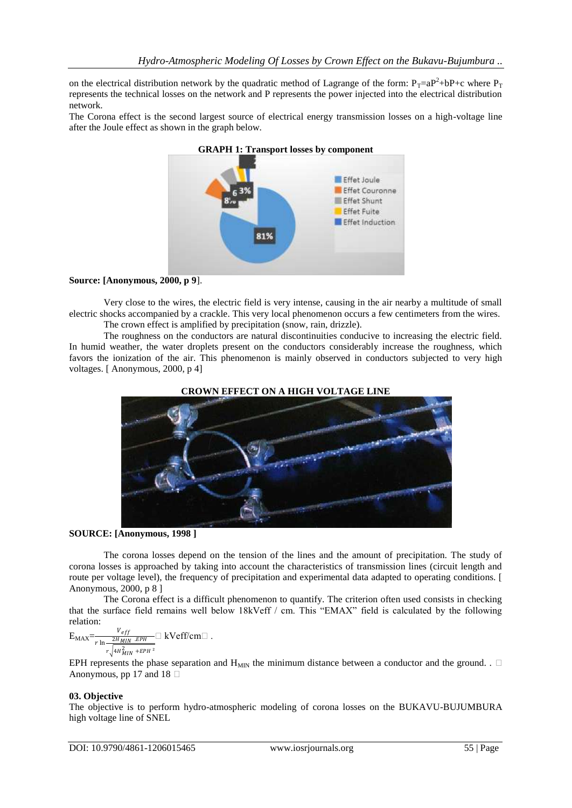on the electrical distribution network by the quadratic method of Lagrange of the form:  $P_T=aP^2+bP+c$  where  $P_T$ represents the technical losses on the network and P represents the power injected into the electrical distribution network.

The Corona effect is the second largest source of electrical energy transmission losses on a high-voltage line after the Joule effect as shown in the graph below.



### **Source: [Anonymous, 2000, p 9**].

Very close to the wires, the electric field is very intense, causing in the air nearby a multitude of small electric shocks accompanied by a crackle. This very local phenomenon occurs a few centimeters from the wires. The crown effect is amplified by precipitation (snow, rain, drizzle).

The roughness on the conductors are natural discontinuities conducive to increasing the electric field. In humid weather, the water droplets present on the conductors considerably increase the roughness, which favors the ionization of the air. This phenomenon is mainly observed in conductors subjected to very high voltages. [ Anonymous, 2000, p 4]



# **CROWN EFFECT ON A HIGH VOLTAGE LINE**

**SOURCE: [Anonymous, 1998 ]**

The corona losses depend on the tension of the lines and the amount of precipitation. The study of corona losses is approached by taking into account the characteristics of transmission lines (circuit length and route per voltage level), the frequency of precipitation and experimental data adapted to operating conditions. [ Anonymous, 2000, p 8 ]

The Corona effect is a difficult phenomenon to quantify. The criterion often used consists in checking that the surface field remains well below 18kVeff / cm. This "EMAX" field is calculated by the following relation:

$$
E_{MAX} = \frac{v_{eff}}{r \ln \frac{2H_{MIN} \cdot EPH}{r \sqrt{4H_{MIN}^2 + EPH^2}}} \square kVeff/cm\square.
$$

EPH represents the phase separation and  $H_{MIN}$  the minimum distance between a conductor and the ground. .  $\Box$ Anonymous, pp 17 and 18  $\Box$ 

#### **03. Objective**

The objective is to perform hydro-atmospheric modeling of corona losses on the BUKAVU-BUJUMBURA high voltage line of SNEL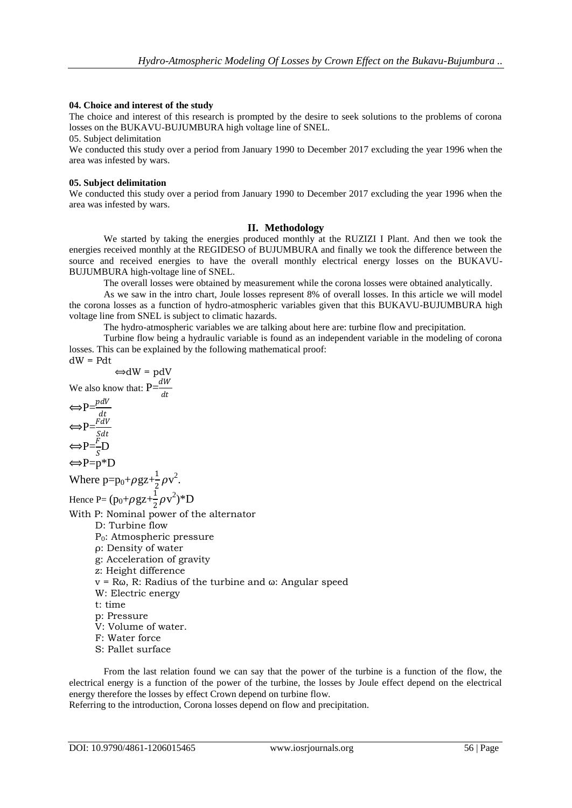#### **04. Choice and interest of the study**

The choice and interest of this research is prompted by the desire to seek solutions to the problems of corona losses on the BUKAVU-BUJUMBURA high voltage line of SNEL.

05. Subject delimitation

We conducted this study over a period from January 1990 to December 2017 excluding the year 1996 when the area was infested by wars.

#### **05. Subject delimitation**

We conducted this study over a period from January 1990 to December 2017 excluding the year 1996 when the area was infested by wars.

#### **II. Methodology**

We started by taking the energies produced monthly at the RUZIZI I Plant. And then we took the energies received monthly at the REGIDESO of BUJUMBURA and finally we took the difference between the source and received energies to have the overall monthly electrical energy losses on the BUKAVU-BUJUMBURA high-voltage line of SNEL.

The overall losses were obtained by measurement while the corona losses were obtained analytically.

As we saw in the intro chart, Joule losses represent 8% of overall losses. In this article we will model the corona losses as a function of hydro-atmospheric variables given that this BUKAVU-BUJUMBURA high voltage line from SNEL is subject to climatic hazards.

The hydro-atmospheric variables we are talking about here are: turbine flow and precipitation.

Turbine flow being a hydraulic variable is found as an independent variable in the modeling of corona losses. This can be explained by the following mathematical proof:

dW = Pdt  
\n
$$
\Leftrightarrow dW = pdV
$$
\nWe also know that:  $P = \frac{dW}{dt}$ 

$$
\Leftrightarrow P = \frac{fdt}{Sdt}
$$
  
\n
$$
\Leftrightarrow P = \frac{F}{S}D
$$
  
\n
$$
\Leftrightarrow P = p^*D
$$

Where  $p=p_0+\rho gz+\frac{1}{2}$  $\frac{1}{2}\rho v^2$ .

Hence P=  $(p_0+\rho g z+\frac{1}{2})$  $\frac{1}{2}\rho v^2$ <sup>\*</sup>D

With P: Nominal power of the alternator

- D: Turbine flow P0: Atmospheric pressure
- ρ: Density of water
- g: Acceleration of gravity
- z: Height difference
- $v = R\omega$ , R: Radius of the turbine and  $\omega$ : Angular speed
- W: Electric energy
- t: time
- p: Pressure
- V: Volume of water.
- F: Water force
- S: Pallet surface

From the last relation found we can say that the power of the turbine is a function of the flow, the electrical energy is a function of the power of the turbine, the losses by Joule effect depend on the electrical energy therefore the losses by effect Crown depend on turbine flow. Referring to the introduction, Corona losses depend on flow and precipitation.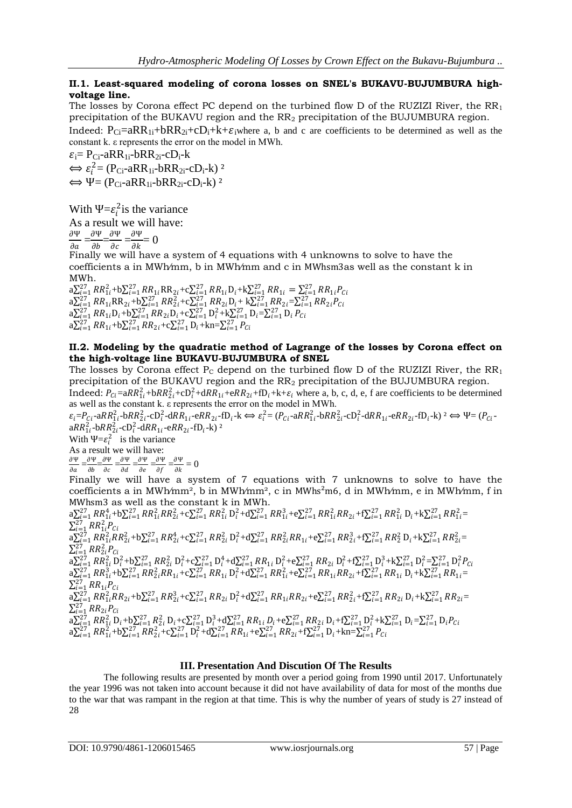# **II.1. Least-squared modeling of corona losses on SNEL's BUKAVU-BUJUMBURA highvoltage line.**

The losses by Corona effect PC depend on the turbined flow D of the RUZIZI River, the  $RR<sub>1</sub>$ precipitation of the BUKAVU region and the RR<sup>2</sup> precipitation of the BUJUMBURA region. Indeed:  $P_{Ci}=aRR_{1i}+bRR_{2i}+cD_{i}+k+\epsilon_{i}$  where a, b and c are coefficients to be determined as well as the constant k. ε represents the error on the model in MWh.

 $\varepsilon_i = P_{Ci}$ -aRR<sub>1i</sub>-bRR<sub>2i</sub>-cD<sub>i</sub>-k  $\Leftrightarrow$   $\varepsilon_i^2 = (P_{Ci} - aRR_{1i} - bRR_{2i} - cD_i - k)^2$  $\Leftrightarrow \Psi = (P_{Ci} - aRR_{1i} - bRR_{2i} - cD_i - k)^2$ 

With  $\Psi = \varepsilon_i^2$  is the variance

As a result we will have:

 $\frac{\partial \Psi}{\partial x} = \frac{\partial \Psi}{\partial t} = \frac{\partial \Psi}{\partial x} = \frac{\partial \Psi}{\partial t}$  $\Omega$ 

$$
\frac{1}{\partial a} = \frac{1}{\partial b} = \frac{1}{\partial c} = \frac{1}{\partial k} =
$$

Finally we will have a system of 4 equations with 4 unknowns to solve to have the coefficients a in MWh⁄mm, b in MWh⁄mm and c in MWhsm3as well as the constant k in MWh.

 $\begin{array}{l} \mathbf{a}\sum_{i=1}^{27}\mathbf{R}R_{1i}^{2}+\mathbf{b}\sum_{i=1}^{27}\mathbf{R}R_{1i}\mathbf{R}\mathbf{R}_{2i}+\mathbf{c}\sum_{i=1}^{27}\mathbf{R}R_{1i}\mathbf{D}_{i}+\mathbf{k}\sum_{i=1}^{27}\mathbf{R}R_{1i}=\sum_{i=1}^{27}\mathbf{R}R_{1i}P_{Ci}\\ \mathbf{a}\sum_{i=1}^{27}\mathbf{R}R_{1i}\mathbf{R}\mathbf{R}_{2i}+\mathbf{b}\sum_{i=1}^{27}\mathbf{R}R_{$  $a\sum_{i=1}^{27}RR_{1i}+b\sum_{i=1}^{27}RR_{2i}+c\sum_{i=1}^{27}D_{i}+kn=\sum_{i=1}^{27}P_{Ci}$ 

### **II.2. Modeling by the quadratic method of Lagrange of the losses by Corona effect on the high-voltage line BUKAVU-BUJUMBURA of SNEL**

The losses by Corona effect  $P_c$  depend on the turbined flow D of the RUZIZI River, the  $RR_1$ precipitation of the BUKAVU region and the RR<sup>2</sup> precipitation of the BUJUMBURA region.

Indeed:  $P_{Ci} = aRR_{1i}^2 + bRR_{2i}^2 + cD_i^2 + dRR_{1i} + eRR_{2i} + fD_i + k + \varepsilon_i$  where a, b, c, d, e, f are coefficients to be determined as well as the constant k. ε represents the error on the model in MWh.

 $\varepsilon_i = P_{Ci} - aRR_{1i}^2 - bRR_{2i}^2 - cD_i^2 - dRR_{1i} - eRR_{2i} - fD_i - k \iff \varepsilon_i^2 = (P_{Ci} - aRR_{1i}^2 - bRR_{2i}^2 - cD_i^2 - dRR_{1i} - eRR_{2i} - fD_i - k) \iff \varepsilon_i^2 = (P_{Ci} - aRR_{1i}^2 - bRR_{2i}^2 - cD_i^2 - dRR_{1i} - eRR_{2i} - fD_i - k) \iff \varepsilon_i^2 = (P_{Ci} - aRR_{1i}^2 - bRR_{2i}^2 - cD_i^2 - dRR_{1i}$  $aRR_{1i}^{2}$ -b $RR_{2i}^{2}$ -cD $_{i}^{2}$ -d $RR_{1i}$ -e $RR_{2i}$ -fD<sub>i</sub>-k)<sup>2</sup>

With  $\Psi = \varepsilon_i^2$  is the variance

As a result we will have: Ψ  $\frac{\partial \Psi}{\partial a} = \frac{\partial \Psi}{\partial b}$  $\frac{\partial \Psi}{\partial b} = \frac{\partial \Psi}{\partial c}$  $\frac{\partial \Psi}{\partial c} = \frac{\partial \Psi}{\partial d}$  $\frac{\partial \Psi}{\partial d} = \frac{\partial \Psi}{\partial e}$  $\frac{\partial \Psi}{\partial e} = \frac{\partial \Psi}{\partial f}$  $\frac{\partial \Psi}{\partial f} = \frac{\partial \Psi}{\partial k}$ 

 $\frac{\partial}{\partial k} = 0$ Finally we will have a system of 7 equations with 7 unknowns to solve to have the coefficients a in MWh⁄mm², b in MWh⁄mm², c in MWhs²m6, d in MWh⁄mm, e in MWh⁄mm, f in

MWhsm3 as well as the constant k in MWh.  $a\sum_{i=1}^{27}RR_{1i}^{4}+b\sum_{i=1}^{27}RR_{1i}^{2}RR_{2i}^{2}+c\sum_{i=1}^{27}RR_{1i}^{2}D_{i}^{2}+d\sum_{i=1}^{27}RR_{1i}^{3}+e\sum_{i=1}^{27}RR_{1i}^{2}RR_{2i}+f\sum_{i=1}^{27}RR_{1i}^{2}D_{i}+k\sum_{i=1}^{27}RR_{1i}^{2}$  $\sum_{i=1}^{27} RR_{1i}^2 P_{Ci}$  $\Delta_{i=1}^{27}RR_{1i}^2RR_{2i}^2 + b\sum_{i=1}^{27}RR_{2i}^4 + c\sum_{i=1}^{27}RR_{2i}^2D_i^2 + d\sum_{i=1}^{27}RR_{2i}^2RR_{1i} + e\sum_{i=1}^{27}RR_{2i}^3 + f\sum_{i=1}^{27}RR_{2}^2D_i + k\sum_{i=1}^{27}RR_{2i}^2 = RR_{1i}^2R_{1i}^2R_{2i}^2$  $\sum_{i=1}^{27} RR_{2i}^2 P_{Ci}$  $\begin{array}{l} {\rm a}\Sigma_{i=1}^{27}\,RR_{1i}^{2}\, {\rm D}_{i}^{2}+{\rm b}\Sigma_{i=1}^{27}\,RR_{2i}\, {\rm D}_{i}^{2}+{\rm c}\Sigma_{i=1}^{27}\,R\,R_{1i}\, {\rm D}_{i}^{2}+{\rm e}\Sigma_{i=1}^{27}\,R\,R_{2i}\, {\rm D}_{i}^{2}+{\rm f}\Sigma_{i=1}^{27}\, {\rm D}_{i}^{3}+{\rm k}\Sigma_{i=1}^{27}\, {\rm D}_{i}^{2}-\Sigma_{i=1}^{27}\, {\rm D}_{i}^{2}\,P_{Ci}\, {\rm D}_{$  $\sum_{i=1}^{27} RR_{1i}P_{Ci}$  $a\sum_{i=1}^{27}RR_{1i}^{2}RR_{2i}+b\sum_{i=1}^{27}RR_{2i}^{3}+c\sum_{i=1}^{27}RR_{2i}D_{i}^{2}+d\sum_{i=1}^{27}RR_{1i}RR_{2i}+e\sum_{i=1}^{27}RR_{2i}^{2}+f\sum_{i=1}^{27}RR_{2i}D_{i}+k\sum_{i=1}^{27}RR_{2i}=RR_{1i}^{27}$  $\sum_{i=1}^{27} RR_{2i}P_{Ci}$  $\begin{array}{l} {\rm a}\sum_{i=1}^{27}\,RR_{1i}^{2}\,{\rm D}_{i}+{\rm b}\sum_{i=1}^{27}\,R_{2i}^{2}\,{\rm D}_{i}+{\rm c}\sum_{i=1}^{27}\,{\rm D}_{i}^{3}+{\rm d}\sum_{i=1}^{27}\,RR_{1i}\,D_{i}+{\rm e}\sum_{i=1}^{27}\,RR_{2i}\,{\rm D}_{i}+{\rm f}\sum_{i=1}^{27}\,{\rm D}_{i}^{2}+{\rm k}\sum_{i=1}^{27}\,{\rm D}_{i}+{\rm c}\sum_{i=1}^{27}\,RR_{2i}^{2}\,{\$ 

### **III. Presentation And Discution Of The Results**

The following results are presented by month over a period going from 1990 until 2017. Unfortunately the year 1996 was not taken into account because it did not have availability of data for most of the months due to the war that was rampant in the region at that time. This is why the number of years of study is 27 instead of 28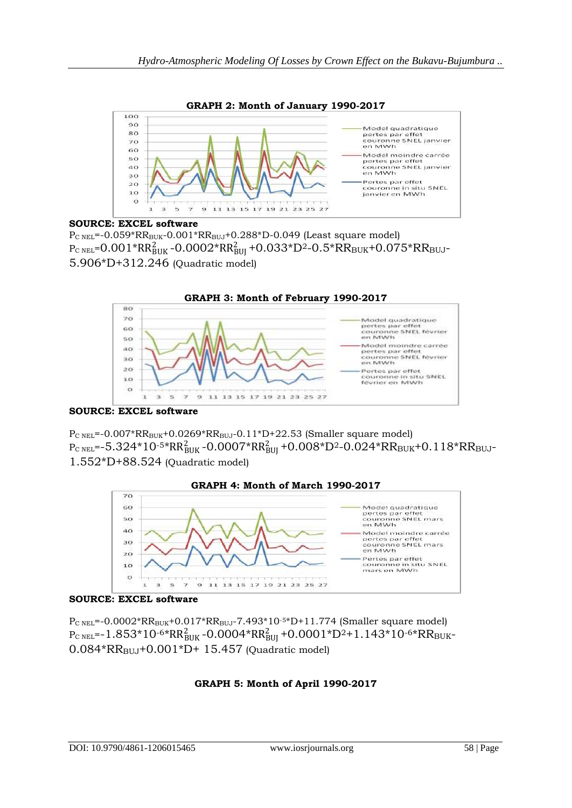

# **SOURCE: EXCEL software**

 $P_{C NEL}$ =-0.059\*RR<sub>BUK</sub>-0.001\*RR<sub>BUJ</sub>+0.288\*D-0.049 (Least square model)  $\rm P_{C~NEL}$ = $\rm 0.001*RR_{BUK}^{2}$  - $\rm 0.0002*RR_{BUI}^{2}$  + $\rm 0.033*D^{2}$ - $\rm 0.5*RR_{BUK}$ + $\rm 0.075*RR_{BUI}$ -5.906\*D+312.246 (Quadratic model)



**SOURCE: EXCEL software**

 $P_{C NEL}$ =-0.007\*RR<sub>BUK</sub>+0.0269\*RR<sub>BUJ</sub>-0.11\*D+22.53 (Smaller square model)  $\rm P_{C~NEL}$ =-5.324\*10<sup>-5\*</sup>RR $\rm B_{BUK}^2$ -0.0007\*RR $\rm B_{BUJ}^2$ +0.008\*D<sup>2</sup>-0.024\*RR $\rm B_{BUK}$ +0.118\*RR $\rm B_{BUJ}$ -

1.552\*D+88.524 (Quadratic model)



# **SOURCE: EXCEL software**

 $P_{C NEL}$ =-0.0002\*RR<sub>BUK</sub>+0.017\*RR<sub>BUJ</sub>-7.493\*10<sup>-5\*</sup>D+11.774 (Smaller square model)  ${\rm P}_{\rm C\, NEL}$ =-1.853\*10-6\*RR $_{\rm BUK}^2$ -0.0004\*RR $_{\rm BUI}^2$ +0.0001\*D<sup>2</sup>+1.143\*10-6\*RR $_{\rm BUK}$ - $0.084*RR_{BUJ}+0.001*D+15.457$  (Quadratic model)

# **GRAPH 5: Month of April 1990-2017**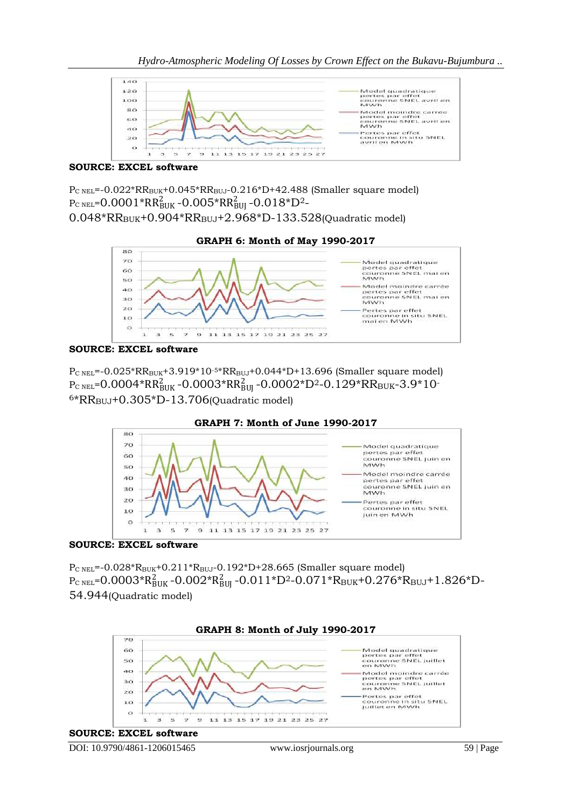

# **SOURCE: EXCEL software**

P<sub>C NEL</sub>=-0.022\*RR<sub>BUK</sub>+0.045\*RR<sub>BUJ</sub>-0.216\*D+42.488 (Smaller square model)  ${\rm P}_{\rm C\ NEL}$ = $0.0001^*{\rm RR}_{\rm BUK}^2$  - $0.005^*{\rm RR}_{\rm BUI}^2$  - $0.018^*{\rm D}^2$ -0.048\*RR<sub>BUK</sub>+0.904\*RR<sub>BUJ</sub>+2.968\*D-133.528(Quadratic model)





### **SOURCE: EXCEL software**

 $P_{C NEL}$ =-0.025\*RR<sub>BUK</sub>+3.919\*10<sup>-5\*</sup>RR<sub>BUJ</sub>+0.044\*D+13.696 (Smaller square model)  ${\rm P}_{\rm C\ NEL}$ =0.0004\*RR $_{\rm BUK}^2$ -0.0003\*RR $_{\rm BUI}^2$ -0.0002\*D<sup>2</sup>-0.129\*RR $_{\rm BUK}$ -3.9\*10 $\cdot$  $6*RR_{BUJ}$ +0.305 $*D-13.706$ (Quadratic model)



**SOURCE: EXCEL software**

P<sub>C NEL</sub>=-0.028\*R<sub>BUK</sub>+0.211\*R<sub>BUJ</sub>-0.192\*D+28.665 (Smaller square model) PC NEL=0.0003\*RBUK 2 -0.002\*RBUJ 2 -0.011\*D2-0.071\*RBUK+0.276\*RBUJ+1.826\*D-54.944(Quadratic model)

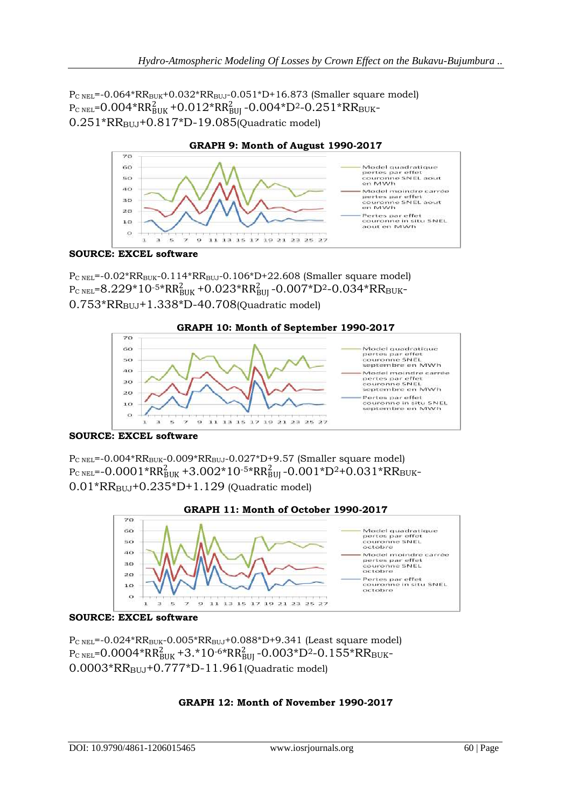$P_{C NEL}$ =-0.064\*RR<sub>BUK</sub>+0.032\*RR<sub>BUJ</sub>-0.051\*D+16.873 (Smaller square model)  ${\rm P}_{\rm C\ NEL}$ = $0.004^\ast {\rm RR}_{\rm BUK}^2$ +0.012\* ${\rm RR}_{\rm BUI}^2$ -0.004\* ${\rm D}^2$ -0.251\* ${\rm RR}_{\rm BUK}$ - $0.251*RR_{BUJ}+0.817*D-19.085$ (Quadratic model)



**SOURCE: EXCEL software**

 $P_{C NEL}$ =-0.02\*RR<sub>BUK</sub>-0.114\*RR<sub>BUJ</sub>-0.106\*D+22.608 (Smaller square model)  ${\rm P}_{\rm C\ NEL}$ =8.229\*10-5\*RR $_{\rm BUK}^2$ +0.023\*RR $_{\rm BUI}^2$ -0.007\*D<sup>2</sup>-0.034\*RR $_{\rm BUK}$ - $0.753*RR_{BUL}+1.338*D-40.708$ (Quadratic model)



**SOURCE: EXCEL software**

 $P_{C NEL}$ =-0.004\*RR<sub>BUK</sub>-0.009\*RR<sub>BUJ</sub>-0.027\*D+9.57 (Smaller square model)  ${\rm P}_{\rm C\ NEL}$ =-0.0001\*RR $_{\rm BUK}^2$ +3.002\*10<sup>-5\*</sup>RR $_{\rm BUI}^2$ -0.001\*D<sup>2</sup>+0.031\*RR $_{\rm BUK}$ - $0.01*RR_{BUJ}+0.235*D+1.129$  (Quadratic model)



# **SOURCE: EXCEL software**

P<sub>C NEL</sub>=-0.024\*RR<sub>BUK</sub>-0.005\*RR<sub>BUJ</sub>+0.088\*D+9.341 (Least square model)  $\rm P_{C \, NEL}\!\! =\!\! 0.0004\!*\!RR_{BUK}^2\!+\!3.*10^{-6}\!*\!RR_{BU}^2$ -0.003\*D<sup>2</sup>-0.155\* $\rm RR_{BUK}$ -0.0003\*RR<sub>BUJ</sub>+0.777\*D-11.961(Quadratic model)

# **GRAPH 12: Month of November 1990-2017**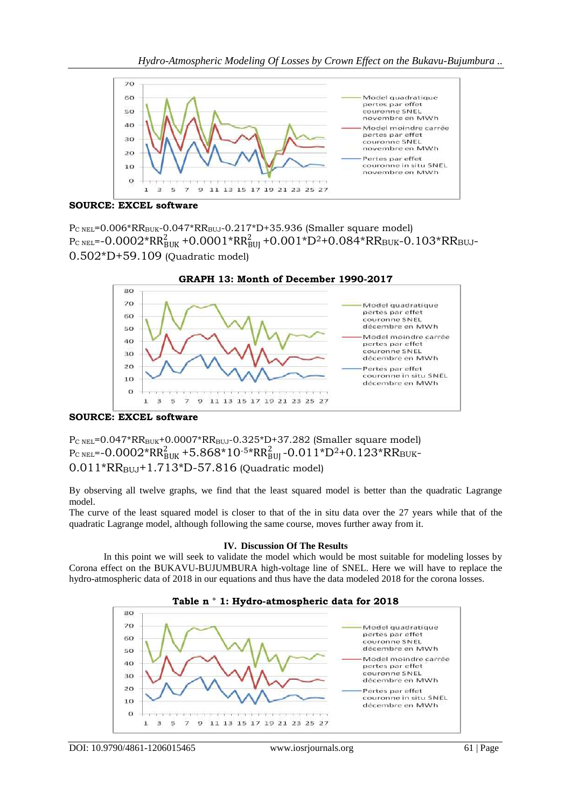

### **SOURCE: EXCEL software**

 $P_{C NEL}$ =0.006\*RR<sub>BUK</sub>-0.047\*RR<sub>BUJ</sub>-0.217\*D+35.936 (Smaller square model)  ${\rm P}_{\rm C\ NEL}$ =-0.0002\*RR $_{\rm BUK}^2$ +0.0001\*RR $_{\rm BUI}^2$ +0.001\*D<sup>2</sup>+0.084\*RR $_{\rm BUK}$ -0.103\*RR $_{\rm BUL}$ -0.502\*D+59.109 (Quadratic model)



**SOURCE: EXCEL software**

P<sub>C NEL</sub>=0.047\*RR<sub>BUK</sub>+0.0007\*RR<sub>BUJ</sub>-0.325\*D+37.282 (Smaller square model)  ${\rm P}_{\rm C\ NEL}$ =-0.0002\*RR $_{\rm BUK}^2$ +5.868\*10-5\*RR $_{\rm BUI}^2$ -0.011\*D<sup>2</sup>+0.123\*RR $_{\rm BUK}$ - $0.011*RR_{\text{BUL}}+1.713*D-57.816$  (Quadratic model)

By observing all twelve graphs, we find that the least squared model is better than the quadratic Lagrange model.

The curve of the least squared model is closer to that of the in situ data over the 27 years while that of the quadratic Lagrange model, although following the same course, moves further away from it.

### **IV. Discussion Of The Results**

In this point we will seek to validate the model which would be most suitable for modeling losses by Corona effect on the BUKAVU-BUJUMBURA high-voltage line of SNEL. Here we will have to replace the hydro-atmospheric data of 2018 in our equations and thus have the data modeled 2018 for the corona losses.



### **Table n ° 1: Hydro-atmospheric data for 2018**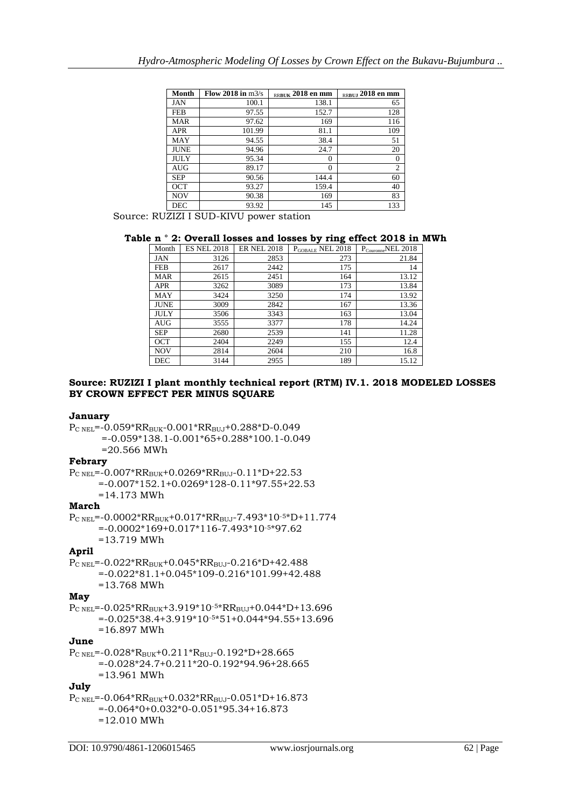| Month       | Flow 2018 in $m3/s$ | RRBUK 2018 en mm | RRBUJ 2018 en mm |
|-------------|---------------------|------------------|------------------|
| JAN         | 100.1               | 138.1            | 65               |
| <b>FEB</b>  | 97.55               | 152.7            | 128              |
| <b>MAR</b>  | 97.62               | 169              | 116              |
| <b>APR</b>  | 101.99              | 81.1             | 109              |
| MAY         | 94.55               | 38.4             | 51               |
| <b>JUNE</b> | 94.96               | 24.7             | 20               |
| JULY        | 95.34               | $\theta$         | $\overline{0}$   |
| AUG         | 89.17               | 0                | $\overline{2}$   |
| <b>SEP</b>  | 90.56               | 144.4            | 60               |
| <b>OCT</b>  | 93.27               | 159.4            | 40               |
| <b>NOV</b>  | 90.38               | 169              | 83               |
| <b>DEC</b>  | 93.92               | 145              | 133              |

Source: RUZIZI I SUD-KIVU power station

### **Table n ° 2: Overall losses and losses by ring effect 2018 in MWh**

| Month       | <b>ES NEL 2018</b> | <b>ER NEL 2018</b> | P <sub>GOBALE</sub> NEL 2018 | P <sub>Couronne</sub> NEL 2018 |
|-------------|--------------------|--------------------|------------------------------|--------------------------------|
| JAN         | 3126               | 2853               | 273                          | 21.84                          |
| <b>FEB</b>  | 2617               | 2442               | 175                          | 14                             |
| <b>MAR</b>  | 2615               | 2451               | 164                          | 13.12                          |
| <b>APR</b>  | 3262               | 3089               | 173                          | 13.84                          |
| MAY         | 3424               | 3250               | 174                          | 13.92                          |
| <b>JUNE</b> | 3009               | 2842               | 167                          | 13.36                          |
| JULY        | 3506               | 3343               | 163                          | 13.04                          |
| AUG         | 3555               | 3377               | 178                          | 14.24                          |
| <b>SEP</b>  | 2680               | 2539               | 141                          | 11.28                          |
| <b>OCT</b>  | 2404               | 2249               | 155                          | 12.4                           |
| <b>NOV</b>  | 2814               | 2604               | 210                          | 16.8                           |
| <b>DEC</b>  | 3144               | 2955               | 189                          | 15.12                          |

#### **Source: RUZIZI I plant monthly technical report (RTM) IV.1. 2018 MODELED LOSSES BY CROWN EFFECT PER MINUS SQUARE**

#### **January**

 $P_{C NEL}$ =-0.059\*RR<sub>BUK</sub>-0.001\*RR<sub>BUJ</sub>+0.288\*D-0.049 =-0.059\*138.1-0.001\*65+0.288\*100.1-0.049  $=20.566$  MWh

#### **Febrary**

P<sub>C NEL</sub>=-0.007\*RR<sub>BUK</sub>+0.0269\*RR<sub>BUJ</sub>-0.11\*D+22.53 =-0.007\*152.1+0.0269\*128-0.11\*97.55+22.53 =14.173 MWh

#### **March**

PC NEL=-0.0002\*RRBUK+0.017\*RRBUJ-7.493\*10-5\*D+11.774 =-0.0002\*169+0.017\*116-7.493\*10-5\*97.62 =13.719 MWh

### **April**

 $P_{C NEL}$ =-0.022\*RR<sub>BUK</sub>+0.045\*RR<sub>BUJ</sub>-0.216\*D+42.488  $= -0.022*81.1+0.045*109-0.216*101.99+42.488$ =13.768 MWh

# **May**

PC NEL=-0.025\*RRBUK+3.919\*10-5\*RRBUJ+0.044\*D+13.696 =-0.025\*38.4+3.919\*10-5\*51+0.044\*94.55+13.696 =16.897 MWh

# **June**

 $P_{C NEL}$ =-0.028\* $R_{BUK}$ +0.211\* $R_{BUJ}$ -0.192\*D+28.665 =-0.028\*24.7+0.211\*20-0.192\*94.96+28.665 =13.961 MWh

# **July**

PC NEL=-0.064\*RRBUK+0.032\*RRBUJ-0.051\*D+16.873 =-0.064\*0+0.032\*0-0.051\*95.34+16.873 =12.010 MWh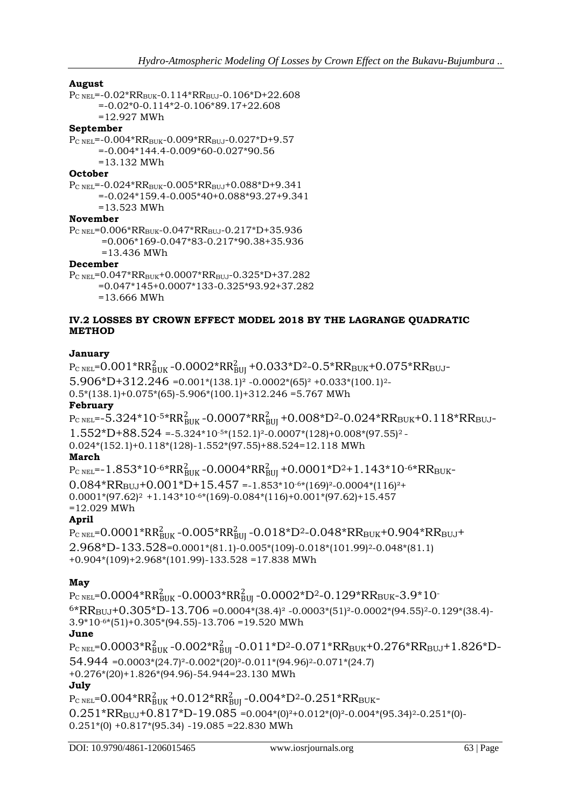# **August**

 $P_{C\, NEL}$ =-0.02\*RR<sub>BUK</sub>-0.114\*RR<sub>BUJ</sub>-0.106\*D+22.608 =-0.02\*0-0.114\*2-0.106\*89.17+22.608 =12.927 MWh **September** PC NEL=-0.004\*RRBUK-0.009\*RRBUJ-0.027\*D+9.57 =-0.004\*144.4-0.009\*60-0.027\*90.56 =13.132 MWh

# **October**

 $P_{C NEL}$ =-0.024\*RR<sub>BUK</sub>-0.005\*RR<sub>BUJ</sub>+0.088\*D+9.341 =-0.024\*159.4-0.005\*40+0.088\*93.27+9.341 =13.523 MWh

# **November**

 $P_{C NEL}$ =0.006\*RR<sub>BUK</sub>-0.047\*RR<sub>BUJ</sub>-0.217\*D+35.936 =0.006\*169-0.047\*83-0.217\*90.38+35.936

=13.436 MWh

# **December**

 $P_{C NEL}$ =0.047\*RR<sub>BUK</sub>+0.0007\*RR<sub>BUJ</sub>-0.325\*D+37.282 =0.047\*145+0.0007\*133-0.325\*93.92+37.282 =13.666 MWh

# **IV.2 LOSSES BY CROWN EFFECT MODEL 2018 BY THE LAGRANGE QUADRATIC METHOD**

# **January**

 $\rm P_{C~NEL}$ = $\rm 0.001*RR_{BUK}^{2}$  - $\rm 0.0002*RR_{BUI}^{2}$  + $\rm 0.033*D^{2}$ - $\rm 0.5*RR_{BUK}$ + $\rm 0.075*RR_{BUI}$ -5.906\*D+312.246 =  $0.001*(138.1)^2$  - $0.0002*(65)^2$  + $0.033*(100.1)^2$ - $0.5*(138.1)+0.075*(65)-5.906*(100.1)+312.246 = 5.767$  MWh **February**  $\rm P_{C~NEL}$ =-5.324\*10<sup>-5\*</sup>RR $\rm B_{BUK}^2$ -0.0007\*RR $\rm B_{BUJ}^2$ +0.008\*D<sup>2</sup>-0.024\*RR $\rm B_{BUK}$ +0.118\*RR $\rm B_{BUJ}$ - $1.552*D+88.524 = -5.324*10-5*(152.1)^2-0.0007*(128)+0.008*(97.55)^2-$ 0.024\*(152.1)+0.118\*(128)-1.552\*(97.55)+88.524=12.118 MWh **March**  ${\rm P}_{\rm C\ NEL}$ =-1.853\*10-6\*RR $_{\rm BUK}^2$ -0.0004\*RR $_{\rm BUI}^2$ +0.0001\*D<sup>2</sup>+1.143\*10-6\*RR $_{\rm BUK}$ -

#### $0.084*RR_{\text{BJJ}}+0.001*D+15.457 = -1.853*10^{-6*}(169)^2-0.0004*(116)^2+$ 0.0001\*(97.62)<sup>2</sup> +1.143\*10-6\*(169)-0.084\*(116)+0.001\*(97.62)+15.457 =12.029 MWh

# **April**

 ${\rm P}_{\rm C\ NEL}$ =0.0001\*RR $_{\rm BUK}^2$ -0.005\*RR $_{\rm BUI}^2$ -0.018\*D<sup>2</sup>-0.048\*RR $_{\rm BUK}$ +0.904\*RR $_{\rm BUL}$ + 2.968\*D-133.528=0.0001\*(81.1)-0.005\*(109)-0.018\*(101.99)2-0.048\*(81.1) +0.904\*(109)+2.968\*(101.99)-133.528 =17.838 MWh

# **May**

 ${\rm P}_{\rm C\, NEL}$ =0.0004\*RR $_{\rm BUK}^2$ -0.0003\*RR $_{\rm BUI}^2$ -0.0002\*D<sup>2</sup>-0.129\*RR $_{\rm BUK}$ -3.9\*10- $^{6*}RR_{BUJ}$ +0.305\*D-13.706 =0.0004\*(38.4)<sup>2</sup> -0.0003\*(51)<sup>2</sup>-0.0002\*(94.55)<sup>2</sup>-0.129\*(38.4)-3.9\*10-6\*(51)+0.305\*(94.55)-13.706 =19.520 MWh **June**  $\rm P_{C\,NEL}$ = $\rm 0.0003^{\star}R_{BUK}^{2}$  - $\rm 0.002^{\star}R_{BUJ}^{2}$  - $\rm 0.011^{\star}D^{2}$ - $\rm 0.071^{\star}RR_{BUK}$ + $\rm 0.276^{\star}RR_{BUJ}$ + $\rm 1.826^{\star}D$ - $54.944 = 0.0003*(24.7)^{2}-0.002*(20)^{2}-0.011*(94.96)^{2}-0.071*(24.7)$ +0.276\*(20)+1.826\*(94.96)-54.944=23.130 MWh **July**  $\rm P_{C~NEL}$ = $\rm 0.004*RR_{BUK}^{2}$  + $\rm 0.012*RR_{BUI}^{2}$  - $\rm 0.004*D^{2}$ - $\rm 0.251*RR_{BUK}$ - $0.251*RR_{\text{BJJ}}+0.817*D-19.085 = 0.004*(0)^2+0.012*(0)^2-0.004*(95.34)^2-0.251*(0)$  $0.251*(0) +0.817*(95.34) -19.085 = 22.830$  MWh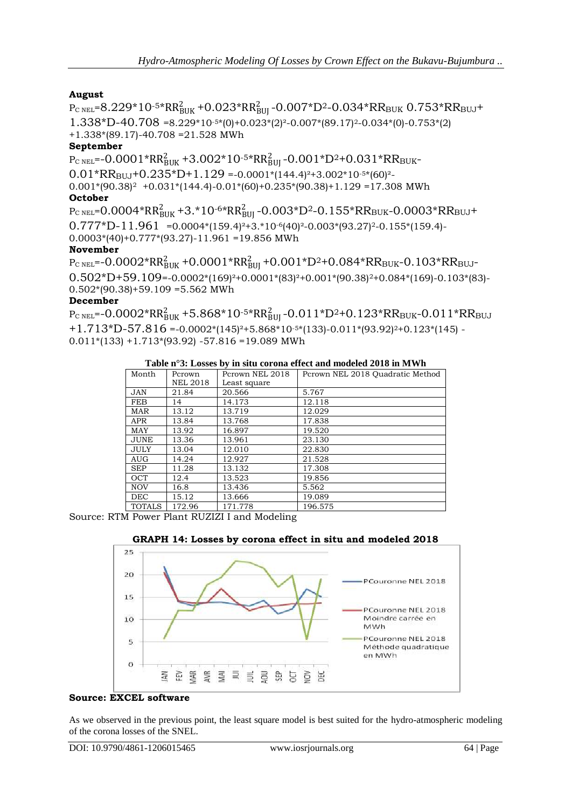# **August**

 $P_{\rm C\ NEL}$ =8.229\*10-5\*RR $_{\rm BUK}^2$ +0.023\*RR $_{\rm BUI}^2$ -0.007\*D<sup>2</sup>-0.034\*RR<sub>BUK</sub> 0.753\*RR<sub>BUJ</sub>+ 1.338\*D-40.708 =8.229\*10-5\*(0)+0.023\*(2)²-0.007\*(89.17)2-0.034\*(0)-0.753\*(2) +1.338\*(89.17)-40.708 =21.528 MWh

# **September**

 ${\rm P}_{\rm C\ NEL}$ =-0.0001\*RR $_{\rm BUK}^2$ +3.002\*10<sup>-5\*</sup>RR $_{\rm BUI}^2$ -0.001\*D<sup>2</sup>+0.031\*RR $_{\rm BUK}$ -

 $0.01*RR_{\text{BUL1}}+0.235*D+1.129 = -0.0001*(144.4)^{2}+3.002*10^{-5}*(60)^{2}$ 

 $0.001*(90.38)^2$  +0.031\*(144.4)-0.01\*(60)+0.235\*(90.38)+1.129 =17.308 MWh **October**

 $P_{\rm C\ NEL}$ =0.0004\*RR $_{\rm BUK}^2$ +3.\*10<sup>-6\*</sup>RR $_{\rm BUI}^2$ -0.003\*D<sup>2</sup>-0.155\*RR<sub>BUK</sub>-0.0003\*RR<sub>BUJ</sub>+  $0.777*D-11.961 = 0.0004*(159.4)^{2}+3.*10^{-6}(40)^{2}-0.003*(93.27)^{2}-0.155*(159.4)$  $0.0003*(40)+0.777*(93.27)-11.961 = 19.856$  MWh

# **November**

 ${\rm P}_{\rm C\ NEL}$ =-0.0002\*RR $_{\rm BUK}^2$ +0.0001\*RR $_{\rm BUI}^2$ +0.001\*D<sup>2</sup>+0.084\*RR $_{\rm BUK}$ -0.103\*RR $_{\rm BUL}$ -0.502\*D+59.109=-0.0002\*(169)²+0.0001\*(83)²+0.001\*(90.38)2+0.084\*(169)-0.103\*(83)-  $0.502*(90.38)+59.109=5.562$  MWh **December**

 $P_{\text{C NEL}}$ =-0.0002\*RR $_{\text{BUK}}^2$ +5.868\*10<sup>-5\*</sup>RR $_{\text{BUI}}^2$ -0.011\*D<sup>2</sup>+0.123\*RR<sub>BUK</sub>-0.011\*RR<sub>BUJ</sub>  $+1.713*D-57.816 = -0.0002*(145)<sup>2</sup>+5.868*10<sup>-5</sup>*(133)-0.011*(93.92)<sup>2</sup>+0.123*(145) 0.011*(133) + 1.713*(93.92) - 57.816 = 19.089$  MWh

### **Table n°3: Losses by in situ corona effect and modeled 2018 in MWh**

| Month         | Pcrown          | Pcrown NEL 2018 | Pcrown NEL 2018 Quadratic Method |
|---------------|-----------------|-----------------|----------------------------------|
|               | <b>NEL 2018</b> | Least square    |                                  |
| <b>JAN</b>    | 21.84           | 20.566          | 5.767                            |
| FEB           | 14              | 14.173          | 12.118                           |
| MAR           | 13.12           | 13.719          | 12.029                           |
| <b>APR</b>    | 13.84           | 13.768          | 17.838                           |
| <b>MAY</b>    | 13.92           | 16.897          | 19.520                           |
| <b>JUNE</b>   | 13.36           | 13.961          | 23.130                           |
| JULY          | 13.04           | 12.010          | 22.830                           |
| AUG           | 14.24           | 12.927          | 21.528                           |
| <b>SEP</b>    | 11.28           | 13.132          | 17.308                           |
| <b>OCT</b>    | 12.4            | 13.523          | 19.856                           |
| <b>NOV</b>    | 16.8            | 13.436          | 5.562                            |
| <b>DEC</b>    | 15.12           | 13.666          | 19.089                           |
| <b>TOTALS</b> | 172.96          | 171.778         | 196.575                          |

Source: RTM Power Plant RUZIZI I and Modeling





### **Source: EXCEL software**

As we observed in the previous point, the least square model is best suited for the hydro-atmospheric modeling of the corona losses of the SNEL.